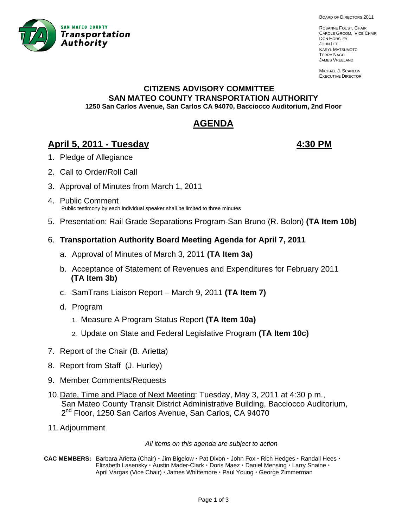

BOARD OF DIRECTORS 2011

ROSANNE FOUST, CHAIR CAROLE GROOM, VICE CHAIR DON HORSLEY JOHN LEE KARYL MATSUMOTO TERRY NAGEL JAMES VREELAND

MICHAEL J. SCANLON EXECUTIVE DIRECTOR

#### **CITIZENS ADVISORY COMMITTEE SAN MATEO COUNTY TRANSPORTATION AUTHORITY 1250 San Carlos Avenue, San Carlos CA 94070, Bacciocco Auditorium, 2nd Floor**

# **AGENDA**

# **April 5, 2011 - Tuesday 4:30 PM**

- 1. Pledge of Allegiance
- 2. Call to Order/Roll Call
- 3. Approval of Minutes from March 1, 2011 Ĭ
- 4. Public Comment Public testimony by each individual speaker shall be limited to three minutes
- 5. Presentation: Rail Grade Separations Program-San Bruno (R. Bolon) **(TA Item 10b)**
- 6. **Transportation Authority Board Meeting Agenda for April 7, 2011**
	- a. Approval of Minutes of March 3, 2011 **(TA Item 3a)**
	- b. Acceptance of Statement of Revenues and Expenditures for February 2011  **(TA Item 3b)**
	- c. SamTrans Liaison Report March 9, 2011 **(TA Item 7)**
	- d. Program
		- 1. Measure A Program Status Report **(TA Item 10a)**
		- 2. Update on State and Federal Legislative Program **(TA Item 10c)**
- 7. Report of the Chair (B. Arietta)
- 8. Report from Staff (J. Hurley)
- 9. Member Comments/Requests
- 10. Date, Time and Place of Next Meeting: Tuesday, May 3, 2011 at 4:30 p.m., San Mateo County Transit District Administrative Building, Bacciocco Auditorium, 2<sup>nd</sup> Floor, 1250 San Carlos Avenue, San Carlos, CA 94070
- 11. Adjournment

*All items on this agenda are subject to action* 

**CAC MEMBERS:** Barbara Arietta (Chair)  $\cdot$  Jim Bigelow  $\cdot$  Pat Dixon  $\cdot$  John Fox  $\cdot$  Rich Hedges  $\cdot$  Randall Hees  $\cdot$ **Elizabeth Lasensky · Austin Mader-Clark · Doris Maez · Daniel Mensing · Larry Shaine ·** April Vargas (Vice Chair) · James Whittemore · Paul Young · George Zimmerman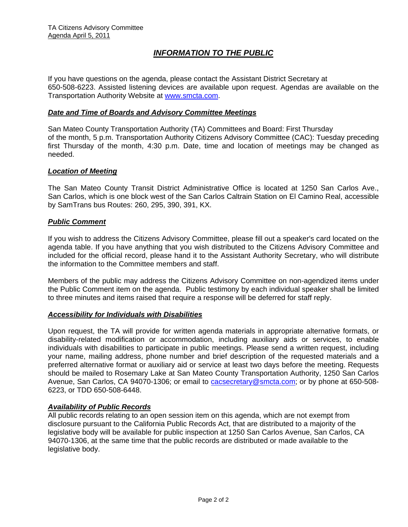# *INFORMATION TO THE PUBLIC*

If you have questions on the agenda, please contact the Assistant District Secretary at 650-508-6223. Assisted listening devices are available upon request. Agendas are available on the Transportation Authority Website at [www.smcta.com.](http://www.smcta.com/)

#### *Date and Time of Boards and Advisory Committee Meetings*

San Mateo County Transportation Authority (TA) Committees and Board: First Thursday of the month, 5 p.m. Transportation Authority Citizens Advisory Committee (CAC): Tuesday preceding first Thursday of the month, 4:30 p.m. Date, time and location of meetings may be changed as needed.

#### *Location of Meeting*

The San Mateo County Transit District Administrative Office is located at 1250 San Carlos Ave., San Carlos, which is one block west of the San Carlos Caltrain Station on El Camino Real, accessible by SamTrans bus Routes: 260, 295, 390, 391, KX.

#### *Public Comment*

If you wish to address the Citizens Advisory Committee, please fill out a speaker's card located on the agenda table. If you have anything that you wish distributed to the Citizens Advisory Committee and included for the official record, please hand it to the Assistant Authority Secretary, who will distribute the information to the Committee members and staff.

Members of the public may address the Citizens Advisory Committee on non-agendized items under the Public Comment item on the agenda. Public testimony by each individual speaker shall be limited to three minutes and items raised that require a response will be deferred for staff reply.

#### *Accessibility for Individuals with Disabilities*

Upon request, the TA will provide for written agenda materials in appropriate alternative formats, or disability-related modification or accommodation, including auxiliary aids or services, to enable individuals with disabilities to participate in public meetings. Please send a written request, including your name, mailing address, phone number and brief description of the requested materials and a preferred alternative format or auxiliary aid or service at least two days before the meeting. Requests should be mailed to Rosemary Lake at San Mateo County Transportation Authority, 1250 San Carlos Avenue, San Carlos, CA 94070-1306; or email to [cacsecretary@smcta.com](mailto:cacsecretary@smcta.com); or by phone at 650-508-6223, or TDD 650-508-6448.

#### *Availability of Public Records*

All public records relating to an open session item on this agenda, which are not exempt from disclosure pursuant to the California Public Records Act, that are distributed to a majority of the legislative body will be available for public inspection at 1250 San Carlos Avenue, San Carlos, CA 94070-1306, at the same time that the public records are distributed or made available to the legislative body.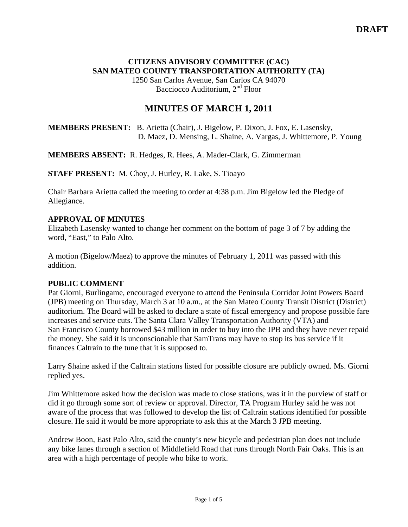# **CITIZENS ADVISORY COMMITTEE (CAC) SAN MATEO COUNTY TRANSPORTATION AUTHORITY (TA)**

1250 San Carlos Avenue, San Carlos CA 94070 Bacciocco Auditorium, 2<sup>nd</sup> Floor

# **MINUTES OF MARCH 1, 2011**

**MEMBERS PRESENT:** B. Arietta (Chair), J. Bigelow, P. Dixon, J. Fox, E. Lasensky, D. Maez, D. Mensing, L. Shaine, A. Vargas, J. Whittemore, P. Young

#### **MEMBERS ABSENT:** R. Hedges, R. Hees, A. Mader-Clark, G. Zimmerman

**STAFF PRESENT:** M. Choy, J. Hurley, R. Lake, S. Tioayo

Chair Barbara Arietta called the meeting to order at 4:38 p.m. Jim Bigelow led the Pledge of Allegiance.

### **APPROVAL OF MINUTES**

Elizabeth Lasensky wanted to change her comment on the bottom of page 3 of 7 by adding the word, "East," to Palo Alto.

A motion (Bigelow/Maez) to approve the minutes of February 1, 2011 was passed with this addition.

#### **PUBLIC COMMENT**

Pat Giorni, Burlingame, encouraged everyone to attend the Peninsula Corridor Joint Powers Board (JPB) meeting on Thursday, March 3 at 10 a.m., at the San Mateo County Transit District (District) auditorium. The Board will be asked to declare a state of fiscal emergency and propose possible fare increases and service cuts. The Santa Clara Valley Transportation Authority (VTA) and San Francisco County borrowed \$43 million in order to buy into the JPB and they have never repaid the money. She said it is unconscionable that SamTrans may have to stop its bus service if it finances Caltrain to the tune that it is supposed to.

Larry Shaine asked if the Caltrain stations listed for possible closure are publicly owned. Ms. Giorni replied yes.

Jim Whittemore asked how the decision was made to close stations, was it in the purview of staff or did it go through some sort of review or approval. Director, TA Program Hurley said he was not aware of the process that was followed to develop the list of Caltrain stations identified for possible closure. He said it would be more appropriate to ask this at the March 3 JPB meeting.

Andrew Boon, East Palo Alto, said the county's new bicycle and pedestrian plan does not include any bike lanes through a section of Middlefield Road that runs through North Fair Oaks. This is an area with a high percentage of people who bike to work.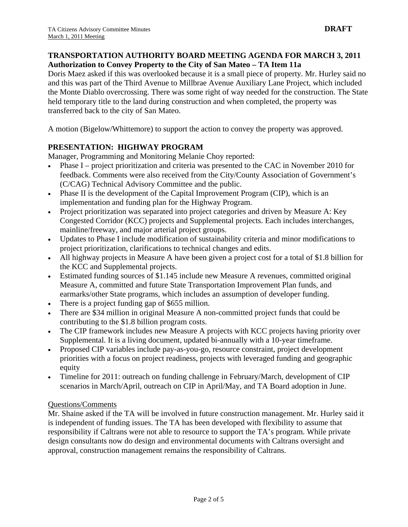### **TRANSPORTATION AUTHORITY BOARD MEETING AGENDA FOR MARCH 3, 2011 Authorization to Convey Property to the City of San Mateo – TA Item 11a**

Doris Maez asked if this was overlooked because it is a small piece of property. Mr. Hurley said no and this was part of the Third Avenue to Millbrae Avenue Auxiliary Lane Project, which included the Monte Diablo overcrossing. There was some right of way needed for the construction. The State held temporary title to the land during construction and when completed, the property was transferred back to the city of San Mateo.

A motion (Bigelow/Whittemore) to support the action to convey the property was approved.

# **PRESENTATION: HIGHWAY PROGRAM**

Manager, Programming and Monitoring Melanie Choy reported:

- Phase I project prioritization and criteria was presented to the CAC in November 2010 for feedback. Comments were also received from the City/County Association of Government's (C/CAG) Technical Advisory Committee and the public.
- Phase II is the development of the Capital Improvement Program (CIP), which is an implementation and funding plan for the Highway Program.
- Project prioritization was separated into project categories and driven by Measure A: Key Congested Corridor (KCC) projects and Supplemental projects. Each includes interchanges, mainline/freeway, and major arterial project groups.
- Updates to Phase I include modification of sustainability criteria and minor modifications to project prioritization, clarifications to technical changes and edits.
- All highway projects in Measure A have been given a project cost for a total of \$1.8 billion for the KCC and Supplemental projects.
- Estimated funding sources of \$1.145 include new Measure A revenues, committed original Measure A, committed and future State Transportation Improvement Plan funds, and earmarks/other State programs, which includes an assumption of developer funding.
- There is a project funding gap of \$655 million.
- There are \$34 million in original Measure A non-committed project funds that could be contributing to the \$1.8 billion program costs.
- The CIP framework includes new Measure A projects with KCC projects having priority over Supplemental. It is a living document, updated bi-annually with a 10-year timeframe.
- Proposed CIP variables include pay-as-you-go, resource constraint, project development priorities with a focus on project readiness, projects with leveraged funding and geographic equity
- Timeline for 2011: outreach on funding challenge in February/March, development of CIP scenarios in March/April, outreach on CIP in April/May, and TA Board adoption in June.

## Questions/Comments

Mr. Shaine asked if the TA will be involved in future construction management. Mr. Hurley said it is independent of funding issues. The TA has been developed with flexibility to assume that responsibility if Caltrans were not able to resource to support the TA's program. While private design consultants now do design and environmental documents with Caltrans oversight and approval, construction management remains the responsibility of Caltrans.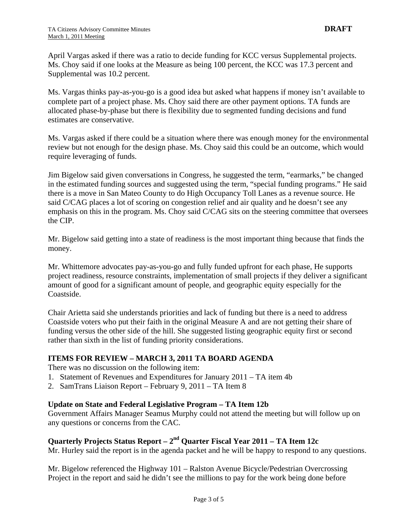April Vargas asked if there was a ratio to decide funding for KCC versus Supplemental projects. Ms. Choy said if one looks at the Measure as being 100 percent, the KCC was 17.3 percent and Supplemental was 10.2 percent.

Ms. Vargas thinks pay-as-you-go is a good idea but asked what happens if money isn't available to complete part of a project phase. Ms. Choy said there are other payment options. TA funds are allocated phase-by-phase but there is flexibility due to segmented funding decisions and fund estimates are conservative.

Ms. Vargas asked if there could be a situation where there was enough money for the environmental review but not enough for the design phase. Ms. Choy said this could be an outcome, which would require leveraging of funds.

Jim Bigelow said given conversations in Congress, he suggested the term, "earmarks," be changed in the estimated funding sources and suggested using the term, "special funding programs." He said there is a move in San Mateo County to do High Occupancy Toll Lanes as a revenue source. He said C/CAG places a lot of scoring on congestion relief and air quality and he doesn't see any emphasis on this in the program. Ms. Choy said C/CAG sits on the steering committee that oversees the CIP.

Mr. Bigelow said getting into a state of readiness is the most important thing because that finds the money.

Mr. Whittemore advocates pay-as-you-go and fully funded upfront for each phase, He supports project readiness, resource constraints, implementation of small projects if they deliver a significant amount of good for a significant amount of people, and geographic equity especially for the Coastside.

Chair Arietta said she understands priorities and lack of funding but there is a need to address Coastside voters who put their faith in the original Measure A and are not getting their share of funding versus the other side of the hill. She suggested listing geographic equity first or second rather than sixth in the list of funding priority considerations.

## **ITEMS FOR REVIEW – MARCH 3, 2011 TA BOARD AGENDA**

There was no discussion on the following item:

- 1. Statement of Revenues and Expenditures for January 2011 TA item 4b
- 2. SamTrans Liaison Report February 9, 2011 TA Item 8

#### **Update on State and Federal Legislative Program – TA Item 12b**

Government Affairs Manager Seamus Murphy could not attend the meeting but will follow up on any questions or concerns from the CAC.

# **Quarterly Projects Status Report – 2nd Quarter Fiscal Year 2011 – TA Item 12c**

Mr. Hurley said the report is in the agenda packet and he will be happy to respond to any questions.

Mr. Bigelow referenced the Highway 101 – Ralston Avenue Bicycle/Pedestrian Overcrossing Project in the report and said he didn't see the millions to pay for the work being done before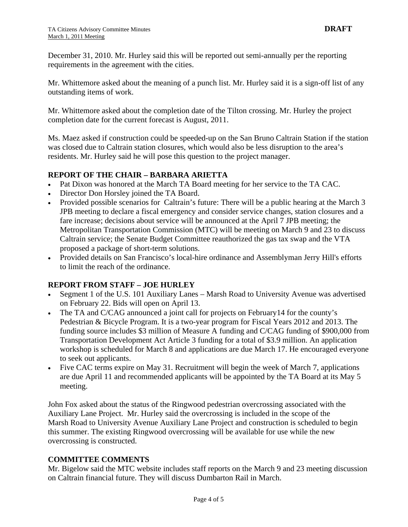December 31, 2010. Mr. Hurley said this will be reported out semi-annually per the reporting requirements in the agreement with the cities.

Mr. Whittemore asked about the meaning of a punch list. Mr. Hurley said it is a sign-off list of any outstanding items of work.

Mr. Whittemore asked about the completion date of the Tilton crossing. Mr. Hurley the project completion date for the current forecast is August, 2011.

Ms. Maez asked if construction could be speeded-up on the San Bruno Caltrain Station if the station was closed due to Caltrain station closures, which would also be less disruption to the area's residents. Mr. Hurley said he will pose this question to the project manager.

### **REPORT OF THE CHAIR – BARBARA ARIETTA**

- Pat Dixon was honored at the March TA Board meeting for her service to the TA CAC.
- Director Don Horsley joined the TA Board.
- Provided possible scenarios for Caltrain's future: There will be a public hearing at the March 3 JPB meeting to declare a fiscal emergency and consider service changes, station closures and a fare increase; decisions about service will be announced at the April 7 JPB meeting; the Metropolitan Transportation Commission (MTC) will be meeting on March 9 and 23 to discuss Caltrain service; the Senate Budget Committee reauthorized the gas tax swap and the VTA proposed a package of short-term solutions.
- Provided details on San Francisco's local-hire ordinance and Assemblyman Jerry Hill's efforts to limit the reach of the ordinance.

#### **REPORT FROM STAFF – JOE HURLEY**

- Segment 1 of the U.S. 101 Auxiliary Lanes Marsh Road to University Avenue was advertised on February 22. Bids will open on April 13.
- The TA and C/CAG announced a joint call for projects on February14 for the county's Pedestrian & Bicycle Program. It is a two-year program for Fiscal Years 2012 and 2013. The funding source includes \$3 million of Measure A funding and C/CAG funding of \$900,000 from Transportation Development Act Article 3 funding for a total of \$3.9 million. An application workshop is scheduled for March 8 and applications are due March 17. He encouraged everyone to seek out applicants.
- Five CAC terms expire on May 31. Recruitment will begin the week of March 7, applications are due April 11 and recommended applicants will be appointed by the TA Board at its May 5 meeting.

John Fox asked about the status of the Ringwood pedestrian overcrossing associated with the Auxiliary Lane Project. Mr. Hurley said the overcrossing is included in the scope of the Marsh Road to University Avenue Auxiliary Lane Project and construction is scheduled to begin this summer. The existing Ringwood overcrossing will be available for use while the new overcrossing is constructed.

#### **COMMITTEE COMMENTS**

Mr. Bigelow said the MTC website includes staff reports on the March 9 and 23 meeting discussion on Caltrain financial future. They will discuss Dumbarton Rail in March.